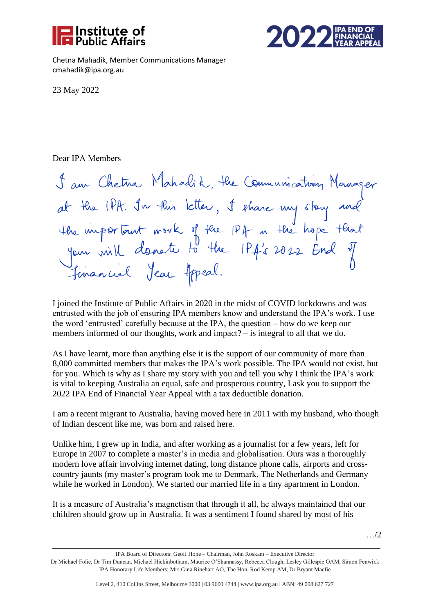



Chetna Mahadik, Member Communications Manager cmahadik@ipa.org.au

23 May 2022

## Dear IPA Members

I am Chetna Mahadik, the Communication Manager<br>at the IPA. In this letter, I share my story and<br>the important mork of the IPA in the hope that<br>your will donote to the IPA's 2022 End of<br>financial Jean Appeal.

I joined the Institute of Public Affairs in 2020 in the midst of COVID lockdowns and was entrusted with the job of ensuring IPA members know and understand the IPA's work. I use the word 'entrusted' carefully because at the IPA, the question – how do we keep our members informed of our thoughts, work and impact? – is integral to all that we do.

As I have learnt, more than anything else it is the support of our community of more than 8,000 committed members that makes the IPA's work possible. The IPA would not exist, but for you. Which is why as I share my story with you and tell you why I think the IPA's work is vital to keeping Australia an equal, safe and prosperous country, I ask you to support the 2022 IPA End of Financial Year Appeal with a tax deductible donation.

I am a recent migrant to Australia, having moved here in 2011 with my husband, who though of Indian descent like me, was born and raised here.

Unlike him, I grew up in India, and after working as a journalist for a few years, left for Europe in 2007 to complete a master's in media and globalisation. Ours was a thoroughly modern love affair involving internet dating, long distance phone calls, airports and crosscountry jaunts (my master's program took me to Denmark, The Netherlands and Germany while he worked in London). We started our married life in a tiny apartment in London.

It is a measure of Australia's magnetism that through it all, he always maintained that our children should grow up in Australia. It was a sentiment I found shared by most of his

IPA Board of Directors: Geoff Hone – Chairman, John Roskam – Executive Director Dr Michael Folie, Dr Tim Duncan, Michael Hickinbotham, Maurice O'Shannassy, Rebecca Clough, Lesley Gillespie OAM, Simon Fenwick IPA Honorary Life Members: Mrs Gina Rinehart AO, The Hon. Rod Kemp AM, Dr Bryant Macfie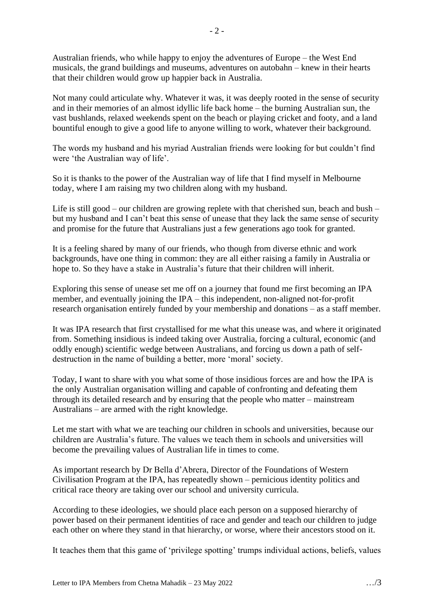Australian friends, who while happy to enjoy the adventures of Europe – the West End musicals, the grand buildings and museums, adventures on autobahn – knew in their hearts that their children would grow up happier back in Australia.

Not many could articulate why. Whatever it was, it was deeply rooted in the sense of security and in their memories of an almost idyllic life back home – the burning Australian sun, the vast bushlands, relaxed weekends spent on the beach or playing cricket and footy, and a land bountiful enough to give a good life to anyone willing to work, whatever their background.

The words my husband and his myriad Australian friends were looking for but couldn't find were 'the Australian way of life'.

So it is thanks to the power of the Australian way of life that I find myself in Melbourne today, where I am raising my two children along with my husband.

Life is still good – our children are growing replete with that cherished sun, beach and bush – but my husband and I can't beat this sense of unease that they lack the same sense of security and promise for the future that Australians just a few generations ago took for granted.

It is a feeling shared by many of our friends, who though from diverse ethnic and work backgrounds, have one thing in common: they are all either raising a family in Australia or hope to. So they have a stake in Australia's future that their children will inherit.

Exploring this sense of unease set me off on a journey that found me first becoming an IPA member, and eventually joining the IPA – this independent, non-aligned not-for-profit research organisation entirely funded by your membership and donations – as a staff member.

It was IPA research that first crystallised for me what this unease was, and where it originated from. Something insidious is indeed taking over Australia, forcing a cultural, economic (and oddly enough) scientific wedge between Australians, and forcing us down a path of selfdestruction in the name of building a better, more 'moral' society.

Today, I want to share with you what some of those insidious forces are and how the IPA is the only Australian organisation willing and capable of confronting and defeating them through its detailed research and by ensuring that the people who matter – mainstream Australians – are armed with the right knowledge.

Let me start with what we are teaching our children in schools and universities, because our children are Australia's future. The values we teach them in schools and universities will become the prevailing values of Australian life in times to come.

As important research by Dr Bella d'Abrera, Director of the Foundations of Western Civilisation Program at the IPA, has repeatedly shown – pernicious identity politics and critical race theory are taking over our school and university curricula.

According to these ideologies, we should place each person on a supposed hierarchy of power based on their permanent identities of race and gender and teach our children to judge each other on where they stand in that hierarchy, or worse, where their ancestors stood on it.

It teaches them that this game of 'privilege spotting' trumps individual actions, beliefs, values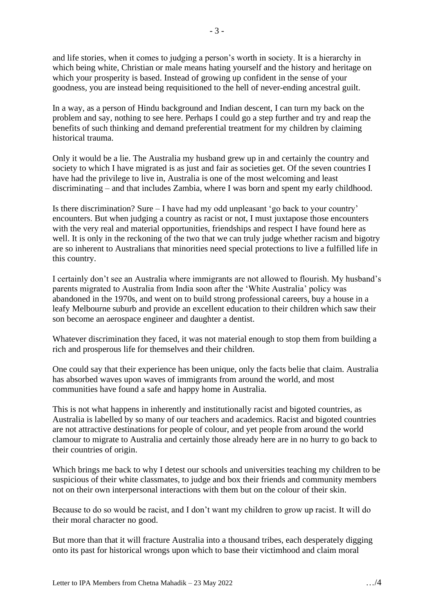and life stories, when it comes to judging a person's worth in society. It is a hierarchy in

which being white, Christian or male means hating yourself and the history and heritage on which your prosperity is based. Instead of growing up confident in the sense of your goodness, you are instead being requisitioned to the hell of never-ending ancestral guilt.

In a way, as a person of Hindu background and Indian descent, I can turn my back on the problem and say, nothing to see here. Perhaps I could go a step further and try and reap the benefits of such thinking and demand preferential treatment for my children by claiming historical trauma.

Only it would be a lie. The Australia my husband grew up in and certainly the country and society to which I have migrated is as just and fair as societies get. Of the seven countries I have had the privilege to live in, Australia is one of the most welcoming and least discriminating – and that includes Zambia, where I was born and spent my early childhood.

Is there discrimination? Sure – I have had my odd unpleasant 'go back to your country' encounters. But when judging a country as racist or not, I must juxtapose those encounters with the very real and material opportunities, friendships and respect I have found here as well. It is only in the reckoning of the two that we can truly judge whether racism and bigotry are so inherent to Australians that minorities need special protections to live a fulfilled life in this country.

I certainly don't see an Australia where immigrants are not allowed to flourish. My husband's parents migrated to Australia from India soon after the 'White Australia' policy was abandoned in the 1970s, and went on to build strong professional careers, buy a house in a leafy Melbourne suburb and provide an excellent education to their children which saw their son become an aerospace engineer and daughter a dentist.

Whatever discrimination they faced, it was not material enough to stop them from building a rich and prosperous life for themselves and their children.

One could say that their experience has been unique, only the facts belie that claim. Australia has absorbed waves upon waves of immigrants from around the world, and most communities have found a safe and happy home in Australia.

This is not what happens in inherently and institutionally racist and bigoted countries, as Australia is labelled by so many of our teachers and academics. Racist and bigoted countries are not attractive destinations for people of colour, and yet people from around the world clamour to migrate to Australia and certainly those already here are in no hurry to go back to their countries of origin.

Which brings me back to why I detest our schools and universities teaching my children to be suspicious of their white classmates, to judge and box their friends and community members not on their own interpersonal interactions with them but on the colour of their skin.

Because to do so would be racist, and I don't want my children to grow up racist. It will do their moral character no good.

But more than that it will fracture Australia into a thousand tribes, each desperately digging onto its past for historical wrongs upon which to base their victimhood and claim moral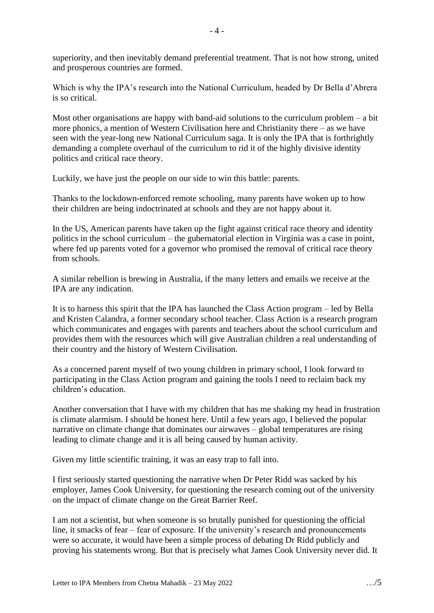superiority, and then inevitably demand preferential treatment. That is not how strong, united and prosperous countries are formed.

Which is why the IPA's research into the National Curriculum, headed by Dr Bella d'Abrera is so critical.

Most other organisations are happy with band-aid solutions to the curriculum problem – a bit more phonics, a mention of Western Civilisation here and Christianity there – as we have seen with the year-long new National Curriculum saga. It is only the IPA that is forthrightly demanding a complete overhaul of the curriculum to rid it of the highly divisive identity politics and critical race theory.

Luckily, we have just the people on our side to win this battle: parents.

Thanks to the lockdown-enforced remote schooling, many parents have woken up to how their children are being indoctrinated at schools and they are not happy about it.

In the US, American parents have taken up the fight against critical race theory and identity politics in the school curriculum – the gubernatorial election in Virginia was a case in point, where fed up parents voted for a governor who promised the removal of critical race theory from schools.

A similar rebellion is brewing in Australia, if the many letters and emails we receive at the IPA are any indication.

It is to harness this spirit that the IPA has launched the Class Action program – led by Bella and Kristen Calandra, a former secondary school teacher. Class Action is a research program which communicates and engages with parents and teachers about the school curriculum and provides them with the resources which will give Australian children a real understanding of their country and the history of Western Civilisation.

As a concerned parent myself of two young children in primary school, I look forward to participating in the Class Action program and gaining the tools I need to reclaim back my children's education.

Another conversation that I have with my children that has me shaking my head in frustration is climate alarmism. I should be honest here. Until a few years ago, I believed the popular narrative on climate change that dominates our airwaves – global temperatures are rising leading to climate change and it is all being caused by human activity.

Given my little scientific training, it was an easy trap to fall into.

I first seriously started questioning the narrative when Dr Peter Ridd was sacked by his employer, James Cook University, for questioning the research coming out of the university on the impact of climate change on the Great Barrier Reef.

I am not a scientist, but when someone is so brutally punished for questioning the official line, it smacks of fear – fear of exposure. If the university's research and pronouncements were so accurate, it would have been a simple process of debating Dr Ridd publicly and proving his statements wrong. But that is precisely what James Cook University never did. It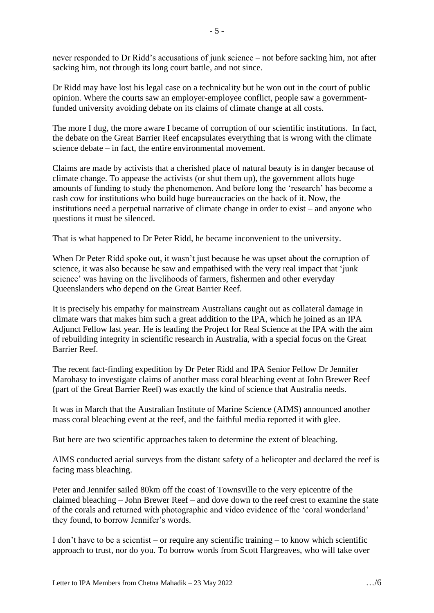never responded to Dr Ridd's accusations of junk science – not before sacking him, not after sacking him, not through its long court battle, and not since.

Dr Ridd may have lost his legal case on a technicality but he won out in the court of public opinion. Where the courts saw an employer-employee conflict, people saw a governmentfunded university avoiding debate on its claims of climate change at all costs.

The more I dug, the more aware I became of corruption of our scientific institutions. In fact, the debate on the Great Barrier Reef encapsulates everything that is wrong with the climate science debate – in fact, the entire environmental movement.

Claims are made by activists that a cherished place of natural beauty is in danger because of climate change. To appease the activists (or shut them up), the government allots huge amounts of funding to study the phenomenon. And before long the 'research' has become a cash cow for institutions who build huge bureaucracies on the back of it. Now, the institutions need a perpetual narrative of climate change in order to exist – and anyone who questions it must be silenced.

That is what happened to Dr Peter Ridd, he became inconvenient to the university.

When Dr Peter Ridd spoke out, it wasn't just because he was upset about the corruption of science, it was also because he saw and empathised with the very real impact that 'junk science' was having on the livelihoods of farmers, fishermen and other everyday Queenslanders who depend on the Great Barrier Reef.

It is precisely his empathy for mainstream Australians caught out as collateral damage in climate wars that makes him such a great addition to the IPA, which he joined as an IPA Adjunct Fellow last year. He is leading the Project for Real Science at the IPA with the aim of rebuilding integrity in scientific research in Australia, with a special focus on the Great Barrier Reef.

The recent fact-finding expedition by Dr Peter Ridd and IPA Senior Fellow Dr Jennifer Marohasy to investigate claims of another mass coral bleaching event at John Brewer Reef (part of the Great Barrier Reef) was exactly the kind of science that Australia needs.

It was in March that the Australian Institute of Marine Science (AIMS) announced another mass coral bleaching event at the reef, and the faithful media reported it with glee.

But here are two scientific approaches taken to determine the extent of bleaching.

AIMS conducted aerial surveys from the distant safety of a helicopter and declared the reef is facing mass bleaching.

Peter and Jennifer sailed 80km off the coast of Townsville to the very epicentre of the claimed bleaching – John Brewer Reef – and dove down to the reef crest to examine the state of the corals and returned with photographic and video evidence of the 'coral wonderland' they found, to borrow Jennifer's words.

I don't have to be a scientist – or require any scientific training – to know which scientific approach to trust, nor do you. To borrow words from Scott Hargreaves, who will take over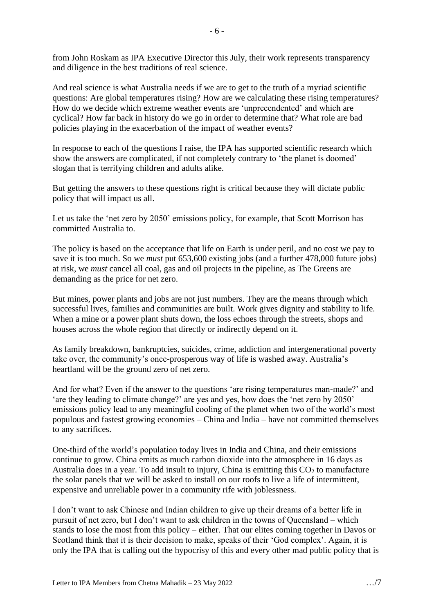from John Roskam as IPA Executive Director this July, their work represents transparency and diligence in the best traditions of real science.

And real science is what Australia needs if we are to get to the truth of a myriad scientific questions: Are global temperatures rising? How are we calculating these rising temperatures? How do we decide which extreme weather events are 'unprecendented' and which are cyclical? How far back in history do we go in order to determine that? What role are bad policies playing in the exacerbation of the impact of weather events?

In response to each of the questions I raise, the IPA has supported scientific research which show the answers are complicated, if not completely contrary to 'the planet is doomed' slogan that is terrifying children and adults alike.

But getting the answers to these questions right is critical because they will dictate public policy that will impact us all.

Let us take the 'net zero by 2050' emissions policy, for example, that Scott Morrison has committed Australia to.

The policy is based on the acceptance that life on Earth is under peril, and no cost we pay to save it is too much. So we *must* put 653,600 existing jobs (and a further 478,000 future jobs) at risk, we *must* cancel all coal, gas and oil projects in the pipeline, as The Greens are demanding as the price for net zero.

But mines, power plants and jobs are not just numbers. They are the means through which successful lives, families and communities are built. Work gives dignity and stability to life. When a mine or a power plant shuts down, the loss echoes through the streets, shops and houses across the whole region that directly or indirectly depend on it.

As family breakdown, bankruptcies, suicides, crime, addiction and intergenerational poverty take over, the community's once-prosperous way of life is washed away. Australia's heartland will be the ground zero of net zero.

And for what? Even if the answer to the questions 'are rising temperatures man-made?' and 'are they leading to climate change?' are yes and yes, how does the 'net zero by 2050' emissions policy lead to any meaningful cooling of the planet when two of the world's most populous and fastest growing economies – China and India – have not committed themselves to any sacrifices.

One-third of the world's population today lives in India and China, and their emissions continue to grow. China emits as much carbon dioxide into the atmosphere in 16 days as Australia does in a year. To add insult to injury, China is emitting this  $CO<sub>2</sub>$  to manufacture the solar panels that we will be asked to install on our roofs to live a life of intermittent, expensive and unreliable power in a community rife with joblessness.

I don't want to ask Chinese and Indian children to give up their dreams of a better life in pursuit of net zero, but I don't want to ask children in the towns of Queensland – which stands to lose the most from this policy – either. That our elites coming together in Davos or Scotland think that it is their decision to make, speaks of their 'God complex'. Again, it is only the IPA that is calling out the hypocrisy of this and every other mad public policy that is